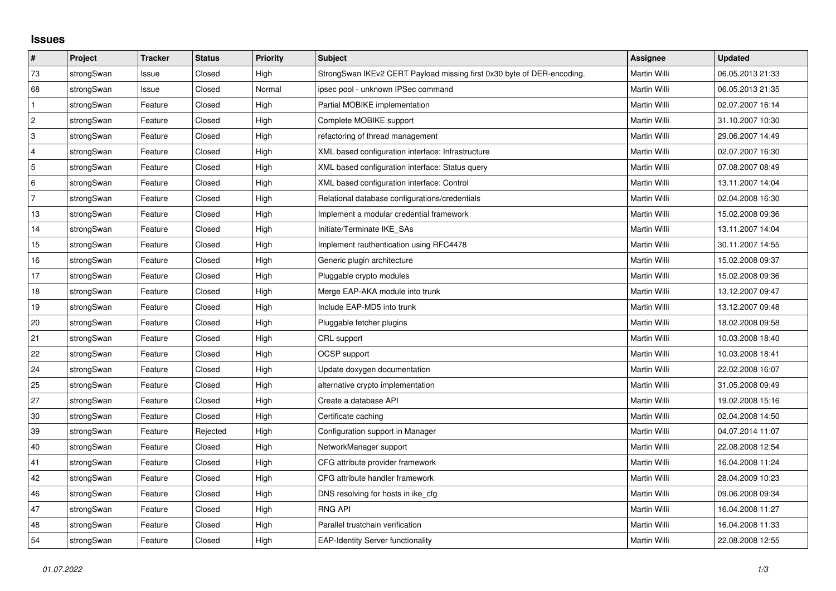## **Issues**

| #              | Project    | <b>Tracker</b> | <b>Status</b> | <b>Priority</b> | <b>Subject</b>                                                         | <b>Assignee</b>     | <b>Updated</b>   |
|----------------|------------|----------------|---------------|-----------------|------------------------------------------------------------------------|---------------------|------------------|
| 73             | strongSwan | Issue          | Closed        | High            | StrongSwan IKEv2 CERT Payload missing first 0x30 byte of DER-encoding. | <b>Martin Willi</b> | 06.05.2013 21:33 |
| 68             | strongSwan | Issue          | Closed        | Normal          | ipsec pool - unknown IPSec command                                     | Martin Willi        | 06.05.2013 21:35 |
| $\mathbf{1}$   | strongSwan | Feature        | Closed        | High            | Partial MOBIKE implementation                                          | Martin Willi        | 02.07.2007 16:14 |
| $\overline{2}$ | strongSwan | Feature        | Closed        | High            | Complete MOBIKE support                                                | Martin Willi        | 31.10.2007 10:30 |
| 3              | strongSwan | Feature        | Closed        | High            | refactoring of thread management                                       | Martin Willi        | 29.06.2007 14:49 |
| 4              | strongSwan | Feature        | Closed        | High            | XML based configuration interface: Infrastructure                      | Martin Willi        | 02.07.2007 16:30 |
| 5              | strongSwan | Feature        | Closed        | High            | XML based configuration interface: Status query                        | Martin Willi        | 07.08.2007 08:49 |
| 6              | strongSwan | Feature        | Closed        | High            | XML based configuration interface: Control                             | Martin Willi        | 13.11.2007 14:04 |
| $\overline{7}$ | strongSwan | Feature        | Closed        | High            | Relational database configurations/credentials                         | Martin Willi        | 02.04.2008 16:30 |
| 13             | strongSwan | Feature        | Closed        | High            | Implement a modular credential framework                               | Martin Willi        | 15.02.2008 09:36 |
| 14             | strongSwan | Feature        | Closed        | High            | Initiate/Terminate IKE_SAs                                             | Martin Willi        | 13.11.2007 14:04 |
| 15             | strongSwan | Feature        | Closed        | High            | Implement rauthentication using RFC4478                                | Martin Willi        | 30.11.2007 14:55 |
| 16             | strongSwan | Feature        | Closed        | High            | Generic plugin architecture                                            | Martin Willi        | 15.02.2008 09:37 |
| 17             | strongSwan | Feature        | Closed        | High            | Pluggable crypto modules                                               | Martin Willi        | 15.02.2008 09:36 |
| 18             | strongSwan | Feature        | Closed        | High            | Merge EAP-AKA module into trunk                                        | Martin Willi        | 13.12.2007 09:47 |
| 19             | strongSwan | Feature        | Closed        | High            | Include EAP-MD5 into trunk                                             | Martin Willi        | 13.12.2007 09:48 |
| 20             | strongSwan | Feature        | Closed        | High            | Pluggable fetcher plugins                                              | Martin Willi        | 18.02.2008 09:58 |
| 21             | strongSwan | Feature        | Closed        | High            | CRL support                                                            | Martin Willi        | 10.03.2008 18:40 |
| 22             | strongSwan | Feature        | Closed        | High            | <b>OCSP</b> support                                                    | Martin Willi        | 10.03.2008 18:41 |
| 24             | strongSwan | Feature        | Closed        | High            | Update doxygen documentation                                           | Martin Willi        | 22.02.2008 16:07 |
| 25             | strongSwan | Feature        | Closed        | High            | alternative crypto implementation                                      | Martin Willi        | 31.05.2008 09:49 |
| 27             | strongSwan | Feature        | Closed        | High            | Create a database API                                                  | Martin Willi        | 19.02.2008 15:16 |
| 30             | strongSwan | Feature        | Closed        | High            | Certificate caching                                                    | Martin Willi        | 02.04.2008 14:50 |
| 39             | strongSwan | Feature        | Rejected      | High            | Configuration support in Manager                                       | Martin Willi        | 04.07.2014 11:07 |
| 40             | strongSwan | Feature        | Closed        | High            | NetworkManager support                                                 | Martin Willi        | 22.08.2008 12:54 |
| 41             | strongSwan | Feature        | Closed        | High            | CFG attribute provider framework                                       | Martin Willi        | 16.04.2008 11:24 |
| 42             | strongSwan | Feature        | Closed        | High            | CFG attribute handler framework                                        | Martin Willi        | 28.04.2009 10:23 |
| 46             | strongSwan | Feature        | Closed        | High            | DNS resolving for hosts in ike cfg                                     | Martin Willi        | 09.06.2008 09:34 |
| 47             | strongSwan | Feature        | Closed        | High            | <b>RNG API</b>                                                         | Martin Willi        | 16.04.2008 11:27 |
| 48             | strongSwan | Feature        | Closed        | High            | Parallel trustchain verification                                       | Martin Willi        | 16.04.2008 11:33 |
| 54             | strongSwan | Feature        | Closed        | High            | <b>EAP-Identity Server functionality</b>                               | Martin Willi        | 22.08.2008 12:55 |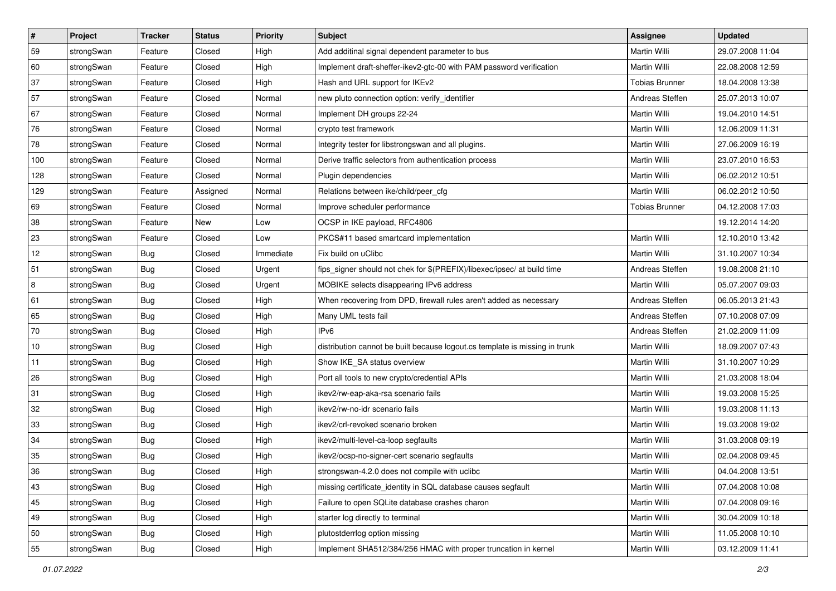| $\vert$ # | Project    | <b>Tracker</b> | <b>Status</b> | <b>Priority</b> | <b>Subject</b>                                                              | <b>Assignee</b>       | <b>Updated</b>   |
|-----------|------------|----------------|---------------|-----------------|-----------------------------------------------------------------------------|-----------------------|------------------|
| 59        | strongSwan | Feature        | Closed        | High            | Add additinal signal dependent parameter to bus                             | Martin Willi          | 29.07.2008 11:04 |
| 60        | strongSwan | Feature        | Closed        | High            | Implement draft-sheffer-ikev2-gtc-00 with PAM password verification         | Martin Willi          | 22.08.2008 12:59 |
| 37        | strongSwan | Feature        | Closed        | High            | Hash and URL support for IKEv2                                              | <b>Tobias Brunner</b> | 18.04.2008 13:38 |
| 57        | strongSwan | Feature        | Closed        | Normal          | new pluto connection option: verify_identifier                              | Andreas Steffen       | 25.07.2013 10:07 |
| 67        | strongSwan | Feature        | Closed        | Normal          | Implement DH groups 22-24                                                   | Martin Willi          | 19.04.2010 14:51 |
| 76        | strongSwan | Feature        | Closed        | Normal          | crypto test framework                                                       | <b>Martin Willi</b>   | 12.06.2009 11:31 |
| 78        | strongSwan | Feature        | Closed        | Normal          | Integrity tester for libstrongswan and all plugins.                         | Martin Willi          | 27.06.2009 16:19 |
| 100       | strongSwan | Feature        | Closed        | Normal          | Derive traffic selectors from authentication process                        | Martin Willi          | 23.07.2010 16:53 |
| 128       | strongSwan | Feature        | Closed        | Normal          | Plugin dependencies                                                         | Martin Willi          | 06.02.2012 10:51 |
| 129       | strongSwan | Feature        | Assigned      | Normal          | Relations between ike/child/peer cfg                                        | Martin Willi          | 06.02.2012 10:50 |
| 69        | strongSwan | Feature        | Closed        | Normal          | Improve scheduler performance                                               | <b>Tobias Brunner</b> | 04.12.2008 17:03 |
| 38        | strongSwan | Feature        | New           | Low             | OCSP in IKE payload, RFC4806                                                |                       | 19.12.2014 14:20 |
| 23        | strongSwan | Feature        | Closed        | Low             | PKCS#11 based smartcard implementation                                      | Martin Willi          | 12.10.2010 13:42 |
| 12        | strongSwan | <b>Bug</b>     | Closed        | Immediate       | Fix build on uClibc                                                         | Martin Willi          | 31.10.2007 10:34 |
| 51        | strongSwan | Bug            | Closed        | Urgent          | fips_signer should not chek for \$(PREFIX)/libexec/ipsec/ at build time     | Andreas Steffen       | 19.08.2008 21:10 |
| 8         | strongSwan | <b>Bug</b>     | Closed        | Urgent          | MOBIKE selects disappearing IPv6 address                                    | Martin Willi          | 05.07.2007 09:03 |
| 61        | strongSwan | <b>Bug</b>     | Closed        | High            | When recovering from DPD, firewall rules aren't added as necessary          | Andreas Steffen       | 06.05.2013 21:43 |
| 65        | strongSwan | Bug            | Closed        | High            | Many UML tests fail                                                         | Andreas Steffen       | 07.10.2008 07:09 |
| 70        | strongSwan | <b>Bug</b>     | Closed        | High            | IPv6                                                                        | Andreas Steffen       | 21.02.2009 11:09 |
| 10        | strongSwan | Bug            | Closed        | High            | distribution cannot be built because logout.cs template is missing in trunk | Martin Willi          | 18.09.2007 07:43 |
| 11        | strongSwan | <b>Bug</b>     | Closed        | High            | Show IKE_SA status overview                                                 | Martin Willi          | 31.10.2007 10:29 |
| 26        | strongSwan | <b>Bug</b>     | Closed        | High            | Port all tools to new crypto/credential APIs                                | Martin Willi          | 21.03.2008 18:04 |
| 31        | strongSwan | Bug            | Closed        | High            | ikev2/rw-eap-aka-rsa scenario fails                                         | Martin Willi          | 19.03.2008 15:25 |
| 32        | strongSwan | <b>Bug</b>     | Closed        | High            | ikev2/rw-no-idr scenario fails                                              | Martin Willi          | 19.03.2008 11:13 |
| 33        | strongSwan | <b>Bug</b>     | Closed        | High            | ikev2/crl-revoked scenario broken                                           | Martin Willi          | 19.03.2008 19:02 |
| 34        | strongSwan | <b>Bug</b>     | Closed        | High            | ikev2/multi-level-ca-loop segfaults                                         | Martin Willi          | 31.03.2008 09:19 |
| 35        | strongSwan | Bug            | Closed        | High            | ikev2/ocsp-no-signer-cert scenario segfaults                                | Martin Willi          | 02.04.2008 09:45 |
| 36        | strongSwan | Bug            | Closed        | High            | strongswan-4.2.0 does not compile with uclibc                               | Martin Willi          | 04.04.2008 13:51 |
| 43        | strongSwan | Bug            | Closed        | High            | missing certificate identity in SQL database causes segfault                | Martin Willi          | 07.04.2008 10:08 |
| 45        | strongSwan | <b>Bug</b>     | Closed        | High            | Failure to open SQLite database crashes charon                              | Martin Willi          | 07.04.2008 09:16 |
| 49        | strongSwan | <b>Bug</b>     | Closed        | High            | starter log directly to terminal                                            | Martin Willi          | 30.04.2009 10:18 |
| 50        | strongSwan | Bug            | Closed        | High            | plutostderrlog option missing                                               | Martin Willi          | 11.05.2008 10:10 |
| 55        | strongSwan | <b>Bug</b>     | Closed        | High            | Implement SHA512/384/256 HMAC with proper truncation in kernel              | Martin Willi          | 03.12.2009 11:41 |